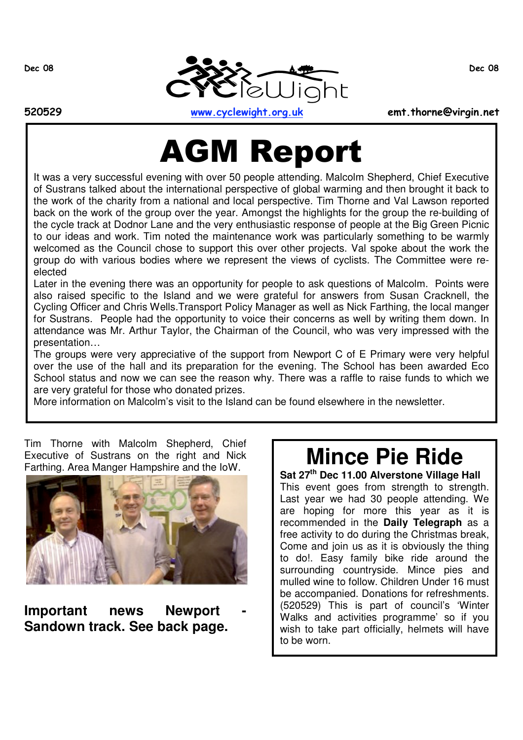

520529 www.cyclewight.org.uk emt.thorne@virgin.net

**AGM Report** 

It was a very successful evening with over 50 people attending. Malcolm Shepherd, Chief Executive of Sustrans talked about the international perspective of global warming and then brought it back to the work of the charity from a national and local perspective. Tim Thorne and Val Lawson reported back on the work of the group over the year. Amongst the highlights for the group the re-building of the cycle track at Dodnor Lane and the very enthusiastic response of people at the Big Green Picnic to our ideas and work. Tim noted the maintenance work was particularly something to be warmly welcomed as the Council chose to support this over other projects. Val spoke about the work the group do with various bodies where we represent the views of cyclists. The Committee were reelected

Later in the evening there was an opportunity for people to ask questions of Malcolm. Points were also raised specific to the Island and we were grateful for answers from Susan Cracknell, the Cycling Officer and Chris Wells.Transport Policy Manager as well as Nick Farthing, the local manger for Sustrans. People had the opportunity to voice their concerns as well by writing them down. In attendance was Mr. Arthur Taylor, the Chairman of the Council, who was very impressed with the presentation…

The groups were very appreciative of the support from Newport C of E Primary were very helpful over the use of the hall and its preparation for the evening. The School has been awarded Eco School status and now we can see the reason why. There was a raffle to raise funds to which we are very grateful for those who donated prizes.

More information on Malcolm's visit to the Island can be found elsewhere in the newsletter.

Tim Thorne with Malcolm Shepherd, Chief Executive of Sustrans on the right and Nick Farthing. Area Manger Hampshire and the IoW.



**Important news Newport - Sandown track. See back page.**

# **Mince Pie Ride**

**Sat 27th Dec 11.00 Alverstone Village Hall** This event goes from strength to strength. Last year we had 30 people attending. We are hoping for more this year as it is recommended in the **Daily Telegraph** as a free activity to do during the Christmas break, Come and join us as it is obviously the thing to do!. Easy family bike ride around the surrounding countryside. Mince pies and mulled wine to follow. Children Under 16 must be accompanied. Donations for refreshments. (520529) This is part of council's 'Winter Walks and activities programme' so if you wish to take part officially, helmets will have to be worn.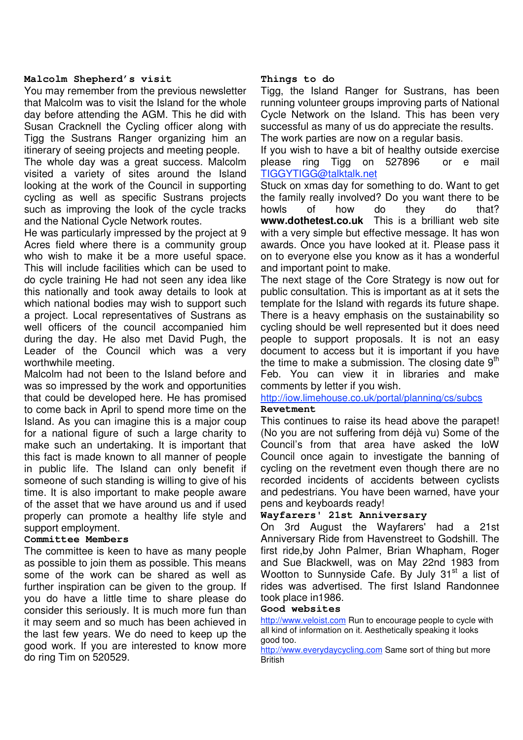#### **Malcolm Shepherd's visit**

You may remember from the previous newsletter that Malcolm was to visit the Island for the whole day before attending the AGM. This he did with Susan Cracknell the Cycling officer along with Tigg the Sustrans Ranger organizing him an itinerary of seeing projects and meeting people.

The whole day was a great success. Malcolm visited a variety of sites around the Island looking at the work of the Council in supporting cycling as well as specific Sustrans projects such as improving the look of the cycle tracks and the National Cycle Network routes.

He was particularly impressed by the project at 9 Acres field where there is a community group who wish to make it be a more useful space. This will include facilities which can be used to do cycle training He had not seen any idea like this nationally and took away details to look at which national bodies may wish to support such a project. Local representatives of Sustrans as well officers of the council accompanied him during the day. He also met David Pugh, the Leader of the Council which was a very worthwhile meeting.

Malcolm had not been to the Island before and was so impressed by the work and opportunities that could be developed here. He has promised to come back in April to spend more time on the Island. As you can imagine this is a major coup for a national figure of such a large charity to make such an undertaking. It is important that this fact is made known to all manner of people in public life. The Island can only benefit if someone of such standing is willing to give of his time. It is also important to make people aware of the asset that we have around us and if used properly can promote a healthy life style and support employment.

#### **Committee Members**

The committee is keen to have as many people as possible to join them as possible. This means some of the work can be shared as well as further inspiration can be given to the group. If you do have a little time to share please do consider this seriously. It is much more fun than it may seem and so much has been achieved in the last few years. We do need to keep up the good work. If you are interested to know more do ring Tim on 520529.

#### **Things to do**

Tigg, the Island Ranger for Sustrans, has been running volunteer groups improving parts of National Cycle Network on the Island. This has been very successful as many of us do appreciate the results. The work parties are now on a regular basis.

If you wish to have a bit of healthy outside exercise please ring Tigg on 527896 or e mail TIGGYTIGG@talktalk.net

Stuck on xmas day for something to do. Want to get the family really involved? Do you want there to be howls of how do they do that? **www.dothetest.co.uk** This is a brilliant web site with a very simple but effective message. It has won awards. Once you have looked at it. Please pass it on to everyone else you know as it has a wonderful and important point to make.

The next stage of the Core Strategy is now out for public consultation. This is important as at it sets the template for the Island with regards its future shape. There is a heavy emphasis on the sustainability so cycling should be well represented but it does need people to support proposals. It is not an easy document to access but it is important if you have the time to make a submission. The closing date  $9<sup>th</sup>$ Feb. You can view it in libraries and make comments by letter if you wish.

#### http://iow.limehouse.co.uk/portal/planning/cs/subcs

#### **Revetment**

This continues to raise its head above the parapet! (No you are not suffering from déjà vu) Some of the Council's from that area have asked the IoW Council once again to investigate the banning of cycling on the revetment even though there are no recorded incidents of accidents between cyclists and pedestrians. You have been warned, have your pens and keyboards ready!

#### **Wayfarers' 21st Anniversary**

On 3rd August the Wayfarers' had a 21st Anniversary Ride from Havenstreet to Godshill. The first ride,by John Palmer, Brian Whapham, Roger and Sue Blackwell, was on May 22nd 1983 from Wootton to Sunnyside Cafe. By July  $31<sup>st</sup>$  a list of rides was advertised. The first Island Randonnee took place in1986.

#### **Good websites**

http://www.veloist.com Run to encourage people to cycle with all kind of information on it. Aesthetically speaking it looks good too.

http://www.everydaycycling.com Same sort of thing but more **British**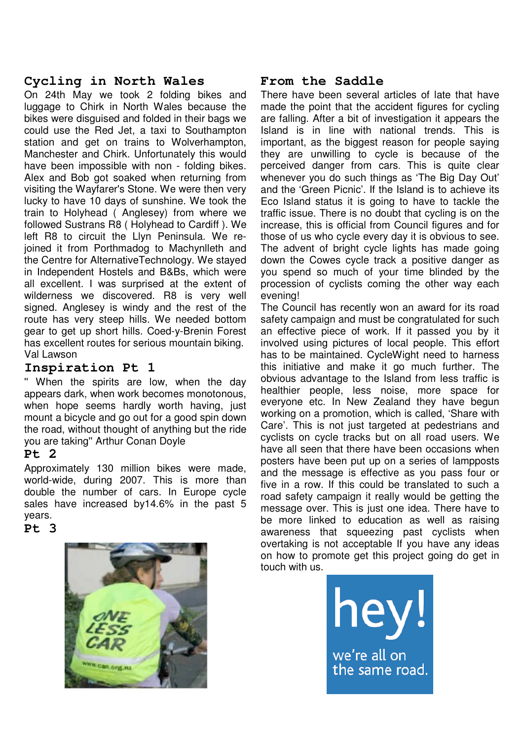# **Cycling in North Wales**

On 24th May we took 2 folding bikes and luggage to Chirk in North Wales because the bikes were disguised and folded in their bags we could use the Red Jet, a taxi to Southampton station and get on trains to Wolverhampton, Manchester and Chirk. Unfortunately this would have been impossible with non - folding bikes. Alex and Bob got soaked when returning from visiting the Wayfarer's Stone. We were then very lucky to have 10 days of sunshine. We took the train to Holyhead ( Anglesey) from where we followed Sustrans R8 ( Holyhead to Cardiff ). We left R8 to circuit the Llyn Peninsula. We rejoined it from Porthmadog to Machynlleth and the Centre for AlternativeTechnology. We stayed in Independent Hostels and B&Bs, which were all excellent. I was surprised at the extent of wilderness we discovered. R8 is very well signed. Anglesey is windy and the rest of the route has very steep hills. We needed bottom gear to get up short hills. Coed-y-Brenin Forest has excellent routes for serious mountain biking. Val Lawson

## **Inspiration Pt 1**

'' When the spirits are low, when the day appears dark, when work becomes monotonous, when hope seems hardly worth having, just mount a bicycle and go out for a good spin down the road, without thought of anything but the ride you are taking'' Arthur Conan Doyle

## **Pt 2**

Approximately 130 million bikes were made, world-wide, during 2007. This is more than double the number of cars. In Europe cycle sales have increased by14.6% in the past 5 years.

## **Pt 3**



# **From the Saddle**

There have been several articles of late that have made the point that the accident figures for cycling are falling. After a bit of investigation it appears the Island is in line with national trends. This is important, as the biggest reason for people saying they are unwilling to cycle is because of the perceived danger from cars. This is quite clear whenever you do such things as 'The Big Day Out' and the 'Green Picnic'. If the Island is to achieve its Eco Island status it is going to have to tackle the traffic issue. There is no doubt that cycling is on the increase, this is official from Council figures and for those of us who cycle every day it is obvious to see. The advent of bright cycle lights has made going down the Cowes cycle track a positive danger as you spend so much of your time blinded by the procession of cyclists coming the other way each evening!

The Council has recently won an award for its road safety campaign and must be congratulated for such an effective piece of work. If it passed you by it involved using pictures of local people. This effort has to be maintained. CycleWight need to harness this initiative and make it go much further. The obvious advantage to the Island from less traffic is healthier people, less noise, more space for everyone etc. In New Zealand they have begun working on a promotion, which is called, 'Share with Care'. This is not just targeted at pedestrians and cyclists on cycle tracks but on all road users. We have all seen that there have been occasions when posters have been put up on a series of lampposts and the message is effective as you pass four or five in a row. If this could be translated to such a road safety campaign it really would be getting the message over. This is just one idea. There have to be more linked to education as well as raising awareness that squeezing past cyclists when overtaking is not acceptable If you have any ideas on how to promote get this project going do get in touch with us.

> we're all on the same road.